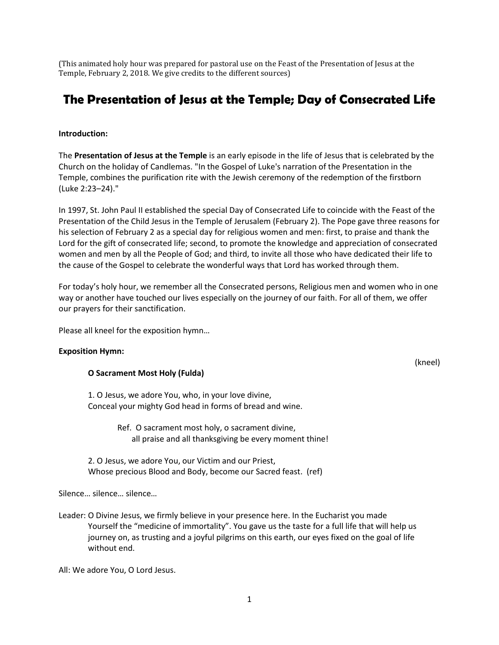(This animated holy hour was prepared for pastoral use on the Feast of the Presentation of Jesus at the Temple, February 2, 2018. We give credits to the different sources)

# **The Presentation of Jesus at the Temple; Day of Consecrated Life**

## **Introduction:**

The **Presentation of Jesus at the Temple** is an early episode in the life of [Jesus](https://en.wikipedia.org/wiki/Jesus) that is celebrated by the Church on the holiday o[f Candlemas.](https://en.wikipedia.org/wiki/Candlemas) "In the Gospel of Luke's narration of the Presentation in the Temple, combines the purification rite with the Jewish ceremony of the redemption of the firstborn [\(Luke 2:23](https://en.wikisource.org/wiki/Bible_(King_James)/Luke#2:23)–24)."

In 1997, St. John Paul II established the special Day of Consecrated Life to coincide with the Feast of the Presentation of the Child Jesus in the Temple of Jerusalem (February 2). The Pope gave three reasons for his selection of February 2 as a special day for religious women and men: first, to praise and thank the Lord for the gift of consecrated life; second, to promote the knowledge and appreciation of consecrated women and men by all the People of God; and third, to invite all those who have dedicated their life to the cause of the Gospel to celebrate the wonderful ways that Lord has worked through them.

For today's holy hour, we remember all the Consecrated persons, Religious men and women who in one way or another have touched our lives especially on the journey of our faith. For all of them, we offer our prayers for their sanctification.

Please all kneel for the exposition hymn...

## **Exposition Hymn:**

## **O Sacrament Most Holy (Fulda)**

1. O Jesus, we adore You, who, in your love divine, Conceal your mighty God head in forms of bread and wine.

> Ref. O sacrament most holy, o sacrament divine, all praise and all thanksgiving be every moment thine!

2. O Jesus, we adore You, our Victim and our Priest, Whose precious Blood and Body, become our Sacred feast. (ref)

Silence... silence... silence...

Leader: O Divine Jesus, we firmly believe in your presence here. In the Eucharist you made Yourself the "medicine of immortality". You gave us the taste for a full life that will help us journey on, as trusting and a joyful pilgrims on this earth, our eyes fixed on the goal of life without end.

All: We adore You, O Lord Jesus.

(kneel)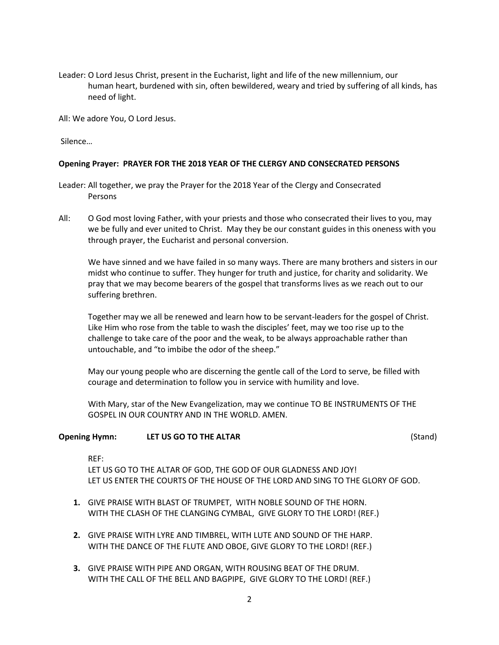Leader: O Lord Jesus Christ, present in the Eucharist, light and life of the new millennium, our human heart, burdened with sin, often bewildered, weary and tried by suffering of all kinds, has need of light.

All: We adore You, O Lord Jesus.

Silence...

## **Opening Prayer: PRAYER FOR THE 2018 YEAR OF THE CLERGY AND CONSECRATED PERSONS**

Leader: All together, we pray the Prayer for the 2018 Year of the Clergy and Consecrated Persons

All: O God most loving Father, with your priests and those who consecrated their lives to you, may we be fully and ever united to Christ. May they be our constant guides in this oneness with you through prayer, the Eucharist and personal conversion.

We have sinned and we have failed in so many ways. There are many brothers and sisters in our midst who continue to suffer. They hunger for truth and justice, for charity and solidarity. We pray that we may become bearers of the gospel that transforms lives as we reach out to our suffering brethren.

Together may we all be renewed and learn how to be servant-leaders for the gospel of Christ. Like Him who rose from the table to wash the disciples' feet, may we too rise up to the challenge to take care of the poor and the weak, to be always approachable rather than untouchable, and "to imbibe the odor of the sheep."

May our young people who are discerning the gentle call of the Lord to serve, be filled with courage and determination to follow you in service with humility and love.

With Mary, star of the New Evangelization, may we continue TO BE INSTRUMENTS OF THE GOSPEL IN OUR COUNTRY AND IN THE WORLD. AMEN.

#### **Opening Hymn: LET US GO TO THE ALTAR CONTRACT CONTRACT CONTRACT (Stand)** (Stand)

REF:

LET US GO TO THE ALTAR OF GOD, THE GOD OF OUR GLADNESS AND JOY! LET US ENTER THE COURTS OF THE HOUSE OF THE LORD AND SING TO THE GLORY OF GOD.

- **1.** GIVE PRAISE WITH BLAST OF TRUMPET, WITH NOBLE SOUND OF THE HORN. WITH THE CLASH OF THE CLANGING CYMBAL, GIVE GLORY TO THE LORD! (REF.)
- **2.** GIVE PRAISE WITH LYRE AND TIMBREL, WITH LUTE AND SOUND OF THE HARP. WITH THE DANCE OF THE FLUTE AND OBOE, GIVE GLORY TO THE LORD! (REF.)
- **3.** GIVE PRAISE WITH PIPE AND ORGAN, WITH ROUSING BEAT OF THE DRUM. WITH THE CALL OF THE BELL AND BAGPIPE, GIVE GLORY TO THE LORD! (REF.)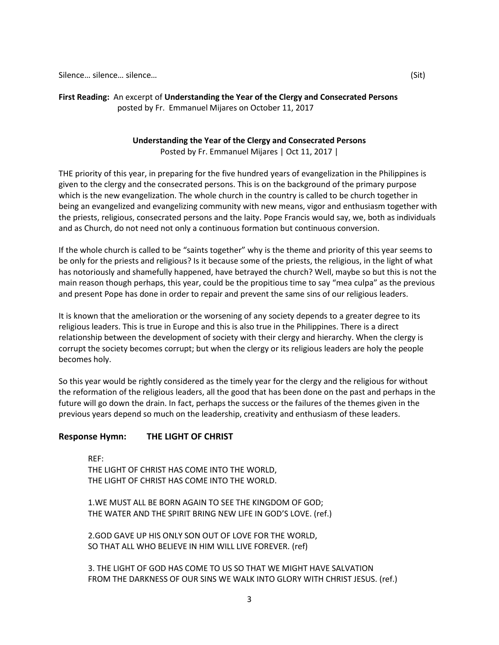Silence… silence… silence… silence… sileta e constantino de la segunda e constantino de la segunda de la segunda de la segunda de la segunda de la segunda de la segunda de la segunda de la segunda de la segunda de la segun

# **Understanding the Year of the Clergy and Consecrated Persons**

Posted by Fr. Emmanuel Mijares | Oct 11, 2017 |

THE priority of this year, in preparing for the five hundred years of evangelization in the Philippines is given to the clergy and the consecrated persons. This is on the background of the primary purpose which is the new evangelization. The whole church in the country is called to be church together in being an evangelized and evangelizing community with new means, vigor and enthusiasm together with the priests, religious, consecrated persons and the laity. Pope Francis would say, we, both as individuals and as Church, do not need not only a continuous formation but continuous conversion.

If the whole church is called to be "saints together" why is the theme and priority of this year seems to be only for the priests and religious? Is it because some of the priests, the religious, in the light of what has notoriously and shamefully happened, have betrayed the church? Well, maybe so but this is not the main reason though perhaps, this year, could be the propitious time to say "mea culpa" as the previous and present Pope has done in order to repair and prevent the same sins of our religious leaders.

It is known that the amelioration or the worsening of any society depends to a greater degree to its religious leaders. This is true in Europe and this is also true in the Philippines. There is a direct relationship between the development of society with their clergy and hierarchy. When the clergy is corrupt the society becomes corrupt; but when the clergy or its religious leaders are holy the people becomes holy.

So this year would be rightly considered as the timely year for the clergy and the religious for without the reformation of the religious leaders, all the good that has been done on the past and perhaps in the future will go down the drain. In fact, perhaps the success or the failures of the themes given in the previous years depend so much on the leadership, creativity and enthusiasm of these leaders.

# **Response Hymn: THE LIGHT OF CHRIST**

REF: THE LIGHT OF CHRIST HAS COME INTO THE WORLD, THE LIGHT OF CHRIST HAS COME INTO THE WORLD.

1.WE MUST ALL BE BORN AGAIN TO SEE THE KINGDOM OF GOD; THE WATER AND THE SPIRIT BRING NEW LIFE IN GOD'S LOVE. (ref.)

2.GOD GAVE UP HIS ONLY SON OUT OF LOVE FOR THE WORLD, SO THAT ALL WHO BELIEVE IN HIM WILL LIVE FOREVER. (ref)

3. THE LIGHT OF GOD HAS COME TO US SO THAT WE MIGHT HAVE SALVATION FROM THE DARKNESS OF OUR SINS WE WALK INTO GLORY WITH CHRIST JESUS. (ref.)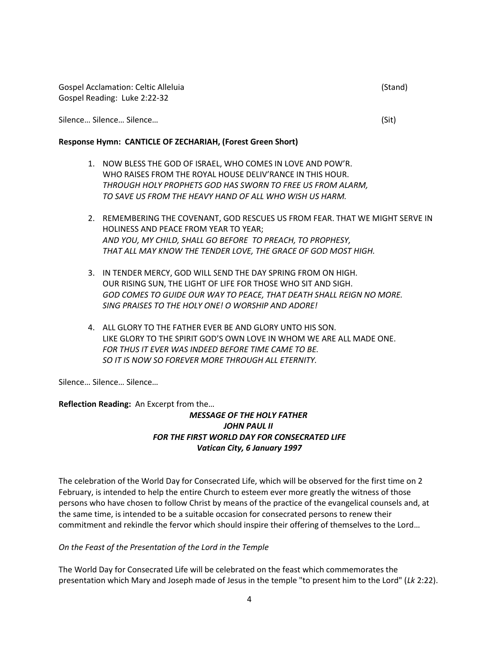Gospel Acclamation: Celtic Alleluia (Stand) (Stand) (Stand) Gospel Reading: Luke 2:22-32

Silence... Silence... Silence... Communication of the state of the state of the state of the state of the state of the state of the state of the state of the state of the state of the state of the state of the state of the

**Response Hymn: CANTICLE OF ZECHARIAH, (Forest Green Short)** 

- 1. NOW BLESS THE GOD OF ISRAEL, WHO COMES IN LOVE AND POW'R. WHO RAISES FROM THE ROYAL HOUSE DELIV'RANCE IN THIS HOUR. *THROUGH HOLY PROPHETS GOD HAS SWORN TO FREE US FROM ALARM, TO SAVE US FROM THE HEAVY HAND OF ALL WHO WISH US HARM.*
- 2. REMEMBERING THE COVENANT, GOD RESCUES US FROM FEAR. THAT WE MIGHT SERVE IN HOLINESS AND PEACE FROM YEAR TO YEAR; *AND YOU, MY CHILD, SHALL GO BEFORE TO PREACH, TO PROPHESY, THAT ALL MAY KNOW THE TENDER LOVE, THE GRACE OF GOD MOST HIGH.*
- 3. IN TENDER MERCY, GOD WILL SEND THE DAY SPRING FROM ON HIGH. OUR RISING SUN, THE LIGHT OF LIFE FOR THOSE WHO SIT AND SIGH. *GOD COMES TO GUIDE OUR WAY TO PEACE, THAT DEATH SHALL REIGN NO MORE. SING PRAISES TO THE HOLY ONE! O WORSHIP AND ADORE!*
- 4. ALL GLORY TO THE FATHER EVER BE AND GLORY UNTO HIS SON. LIKE GLORY TO THE SPIRIT GOD'S OWN LOVE IN WHOM WE ARE ALL MADE ONE. *FOR THUS IT EVER WAS INDEED BEFORE TIME CAME TO BE. SO IT IS NOW SO FOREVER MORE THROUGH ALL ETERNITY.*

Silence... Silence... Silence...

**Reflection Reading:** An Excerpt from the...

# *MESSAGE OF THE HOLY FATHER JOHN PAUL II FOR THE FIRST WORLD DAY FOR CONSECRATED LIFE Vatican City, 6 January 1997*

The celebration of the World Day for Consecrated Life, which will be observed for the first time on 2 February, is intended to help the entire Church to esteem ever more greatly the witness of those persons who have chosen to follow Christ by means of the practice of the evangelical counsels and, at the same time, is intended to be a suitable occasion for consecrated persons to renew their commitment and rekindle the fervor which should inspire their offering of themselves to the Lord…

## *On the Feast of the Presentation of the Lord in the Temple*

The World Day for Consecrated Life will be celebrated on the feast which commemorates the presentation which Mary and Joseph made of Jesus in the temple "to present him to the Lord" (*Lk* 2:22).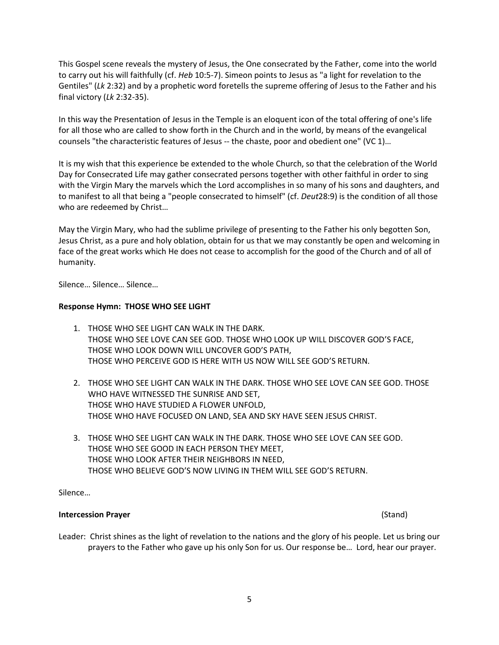This Gospel scene reveals the mystery of Jesus, the One consecrated by the Father, come into the world to carry out his will faithfully (cf. *Heb* 10:5-7). Simeon points to Jesus as "a light for revelation to the Gentiles" (*Lk* 2:32) and by a prophetic word foretells the supreme offering of Jesus to the Father and his final victory (*Lk* 2:32-35).

In this way the Presentation of Jesus in the Temple is an eloquent icon of the total offering of one's life for all those who are called to show forth in the Church and in the world, by means of the evangelical counsels "the characteristic features of Jesus -- the chaste, poor and obedient one" (VC 1)…

It is my wish that this experience be extended to the whole Church, so that the celebration of the World Day for Consecrated Life may gather consecrated persons together with other faithful in order to sing with the Virgin Mary the marvels which the Lord accomplishes in so many of his sons and daughters, and to manifest to all that being a "people consecrated to himself" (cf. *Deut*28:9) is the condition of all those who are redeemed by Christ…

May the Virgin Mary, who had the sublime privilege of presenting to the Father his only begotten Son, Jesus Christ, as a pure and holy oblation, obtain for us that we may constantly be open and welcoming in face of the great works which He does not cease to accomplish for the good of the Church and of all of humanity.

Silence... Silence... Silence...

## **Response Hymn: THOSE WHO SEE LIGHT**

- 1. THOSE WHO SEE LIGHT CAN WALK IN THE DARK. THOSE WHO SEE LOVE CAN SEE GOD. THOSE WHO LOOK UP WILL DISCOVER GOD'S FACE, THOSE WHO LOOK DOWN WILL UNCOVER GOD'S PATH, THOSE WHO PERCEIVE GOD IS HERE WITH US NOW WILL SEE GOD'S RETURN.
- 2. THOSE WHO SEE LIGHT CAN WALK IN THE DARK. THOSE WHO SEE LOVE CAN SEE GOD. THOSE WHO HAVE WITNESSED THE SUNRISE AND SET, THOSE WHO HAVE STUDIED A FLOWER UNFOLD, THOSE WHO HAVE FOCUSED ON LAND, SEA AND SKY HAVE SEEN JESUS CHRIST.
- 3. THOSE WHO SEE LIGHT CAN WALK IN THE DARK. THOSE WHO SEE LOVE CAN SEE GOD. THOSE WHO SEE GOOD IN EACH PERSON THEY MEET, THOSE WHO LOOK AFTER THEIR NEIGHBORS IN NEED, THOSE WHO BELIEVE GOD'S NOW LIVING IN THEM WILL SEE GOD'S RETURN.

Silence...

## **Intercession Prayer** (Stand)

Leader: Christ shines as the light of revelation to the nations and the glory of his people. Let us bring our prayers to the Father who gave up his only Son for us. Our response be... Lord, hear our prayer.